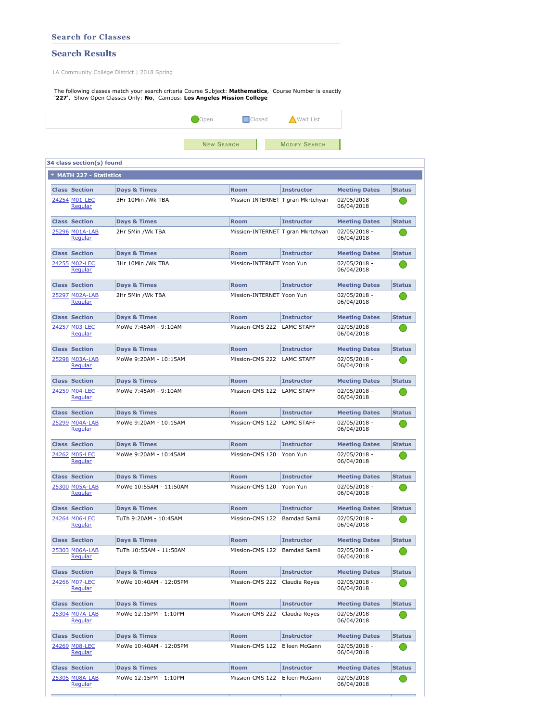## Search Results

LA Community College District | 2018 Spring

The following classes match your search criteria Course Subject: **Mathematics**, Course Number is exactly<br>'**227**', Show Open Classes Only: **No**, Campus: **Los Angeles Mission College** 

|                           |                                            | Open                    | $\Box$ Closed                     | Wait List            |                            |               |  |  |  |  |  |  |
|---------------------------|--------------------------------------------|-------------------------|-----------------------------------|----------------------|----------------------------|---------------|--|--|--|--|--|--|
|                           |                                            | <b>NEW SEARCH</b>       |                                   | <b>MODIFY SEARCH</b> |                            |               |  |  |  |  |  |  |
|                           |                                            |                         |                                   |                      |                            |               |  |  |  |  |  |  |
| 34 class section(s) found |                                            |                         |                                   |                      |                            |               |  |  |  |  |  |  |
|                           | $\blacktriangledown$ MATH 227 - Statistics |                         |                                   |                      |                            |               |  |  |  |  |  |  |
|                           | <b>Class Section</b>                       | <b>Days &amp; Times</b> | <b>Room</b>                       | <b>Instructor</b>    | <b>Meeting Dates</b>       | <b>Status</b> |  |  |  |  |  |  |
|                           | 24254 M01-LEC<br>Regular                   | 3Hr 10Min /Wk TBA       | Mission-INTERNET Tigran Mkrtchyan |                      | 02/05/2018 -<br>06/04/2018 |               |  |  |  |  |  |  |
|                           | <b>Class Section</b>                       | Days & Times            | <b>Room</b>                       | <b>Instructor</b>    | <b>Meeting Dates</b>       | <b>Status</b> |  |  |  |  |  |  |
|                           | 25296 M01A-LAB<br>Regular                  | 2Hr 5Min /Wk TBA        | Mission-INTERNET Tigran Mkrtchyan |                      | 02/05/2018 -<br>06/04/2018 |               |  |  |  |  |  |  |
|                           | <b>Class Section</b>                       | <b>Days &amp; Times</b> | <b>Room</b>                       | <b>Instructor</b>    | <b>Meeting Dates</b>       | <b>Status</b> |  |  |  |  |  |  |
|                           | 24255 M02-LEC<br>Regular                   | 3Hr 10Min /Wk TBA       | Mission-INTERNET Yoon Yun         |                      | 02/05/2018 -<br>06/04/2018 |               |  |  |  |  |  |  |
|                           | <b>Class Section</b>                       | <b>Days &amp; Times</b> | <b>Room</b>                       | <b>Instructor</b>    | <b>Meeting Dates</b>       | <b>Status</b> |  |  |  |  |  |  |
|                           | <u> 25297 M02A-LAB</u><br>Regular          | 2Hr 5Min /Wk TBA        | Mission-INTERNET Yoon Yun         |                      | 02/05/2018 -<br>06/04/2018 |               |  |  |  |  |  |  |
|                           | <b>Class Section</b>                       | Days & Times            | <b>Room</b>                       | <b>Instructor</b>    | <b>Meeting Dates</b>       | <b>Status</b> |  |  |  |  |  |  |
|                           | 24257 M03-LEC<br>Regular                   | MoWe 7:45AM - 9:10AM    | Mission-CMS 222                   | LAMC STAFF           | 02/05/2018 -<br>06/04/2018 |               |  |  |  |  |  |  |
|                           | <b>Class Section</b>                       | <b>Days &amp; Times</b> | <b>Room</b>                       | <b>Instructor</b>    | <b>Meeting Dates</b>       | <b>Status</b> |  |  |  |  |  |  |
|                           | 25298 M03A-LAB<br>Regular                  | MoWe 9:20AM - 10:15AM   | Mission-CMS 222                   | LAMC STAFF           | 02/05/2018 -<br>06/04/2018 |               |  |  |  |  |  |  |
|                           | <b>Class Section</b>                       | Days & Times            | <b>Room</b>                       | <b>Instructor</b>    | <b>Meeting Dates</b>       | <b>Status</b> |  |  |  |  |  |  |
|                           | 24259 M04-LEC<br><u>Regular</u>            | MoWe 7:45AM - 9:10AM    | Mission-CMS 122                   | LAMC STAFF           | 02/05/2018 -<br>06/04/2018 |               |  |  |  |  |  |  |
|                           | <b>Class Section</b>                       | Days & Times            | <b>Room</b>                       | <b>Instructor</b>    | <b>Meeting Dates</b>       | <b>Status</b> |  |  |  |  |  |  |
|                           | 25299 M04A-LAB<br>Regular                  | MoWe 9:20AM - 10:15AM   | Mission-CMS 122                   | LAMC STAFF           | 02/05/2018 -<br>06/04/2018 |               |  |  |  |  |  |  |
|                           | <b>Class Section</b>                       | Days & Times            | <b>Room</b>                       | <b>Instructor</b>    | <b>Meeting Dates</b>       | <b>Status</b> |  |  |  |  |  |  |
|                           | 24262 M05-LEC<br>Regular                   | MoWe 9:20AM - 10:45AM   | Mission-CMS 120                   | Yoon Yun             | 02/05/2018 -<br>06/04/2018 |               |  |  |  |  |  |  |
|                           | <b>Class Section</b>                       | <b>Days &amp; Times</b> | <b>Room</b>                       | <b>Instructor</b>    | <b>Meeting Dates</b>       | <b>Status</b> |  |  |  |  |  |  |
|                           | 25300 M05A-LAB<br>Regular                  | MoWe 10:55AM - 11:50AM  | Mission-CMS 120                   | Yoon Yun             | 02/05/2018 -<br>06/04/2018 |               |  |  |  |  |  |  |
|                           | <b>Class Section</b>                       | Days & Times            | <b>Room</b>                       | <b>Instructor</b>    | <b>Meeting Dates</b>       | <b>Status</b> |  |  |  |  |  |  |
|                           | 24264 M06-LEC<br>Regular                   | TuTh 9:20AM - 10:45AM   | Mission-CMS 122 Bamdad Samii      |                      | 02/05/2018 -<br>06/04/2018 |               |  |  |  |  |  |  |
|                           | <b>Class Section</b>                       | Days & Times            | <b>Room</b>                       | <b>Instructor</b>    | <b>Meeting Dates</b>       | <b>Status</b> |  |  |  |  |  |  |
|                           | 25303 M06A-LAB<br>Regular                  | TuTh 10:55AM - 11:50AM  | Mission-CMS 122                   | Bamdad Samii         | 02/05/2018 -<br>06/04/2018 |               |  |  |  |  |  |  |
|                           | <b>Class Section</b>                       | <b>Days &amp; Times</b> | <b>Room</b>                       | <b>Instructor</b>    | <b>Meeting Dates</b>       | <b>Status</b> |  |  |  |  |  |  |
|                           | 24266 M07-LEC<br>Regular                   | MoWe 10:40AM - 12:05PM  | Mission-CMS 222                   | Claudia Reyes        | 02/05/2018 -<br>06/04/2018 |               |  |  |  |  |  |  |
|                           | <b>Class Section</b>                       | Days & Times            | <b>Room</b>                       | <b>Instructor</b>    | <b>Meeting Dates</b>       | <b>Status</b> |  |  |  |  |  |  |
|                           | 25304 M07A-LAB<br>Regular                  | MoWe 12:15PM - 1:10PM   | Mission-CMS 222                   | Claudia Reyes        | 02/05/2018 -<br>06/04/2018 |               |  |  |  |  |  |  |
|                           | <b>Class Section</b>                       | Days & Times            | <b>Room</b>                       | <b>Instructor</b>    | <b>Meeting Dates</b>       | <b>Status</b> |  |  |  |  |  |  |
|                           | 24269 M08-LEC<br>Regular                   | MoWe 10:40AM - 12:05PM  | Mission-CMS 122 Eileen McGann     |                      | 02/05/2018 -<br>06/04/2018 |               |  |  |  |  |  |  |
|                           | <b>Class Section</b>                       | <b>Days &amp; Times</b> | <b>Room</b>                       | <b>Instructor</b>    | <b>Meeting Dates</b>       | <b>Status</b> |  |  |  |  |  |  |
|                           | 25305 M08A-LAB<br>Regular                  | MoWe 12:15PM - 1:10PM   | Mission-CMS 122 Eileen McGann     |                      | 02/05/2018 -<br>06/04/2018 |               |  |  |  |  |  |  |